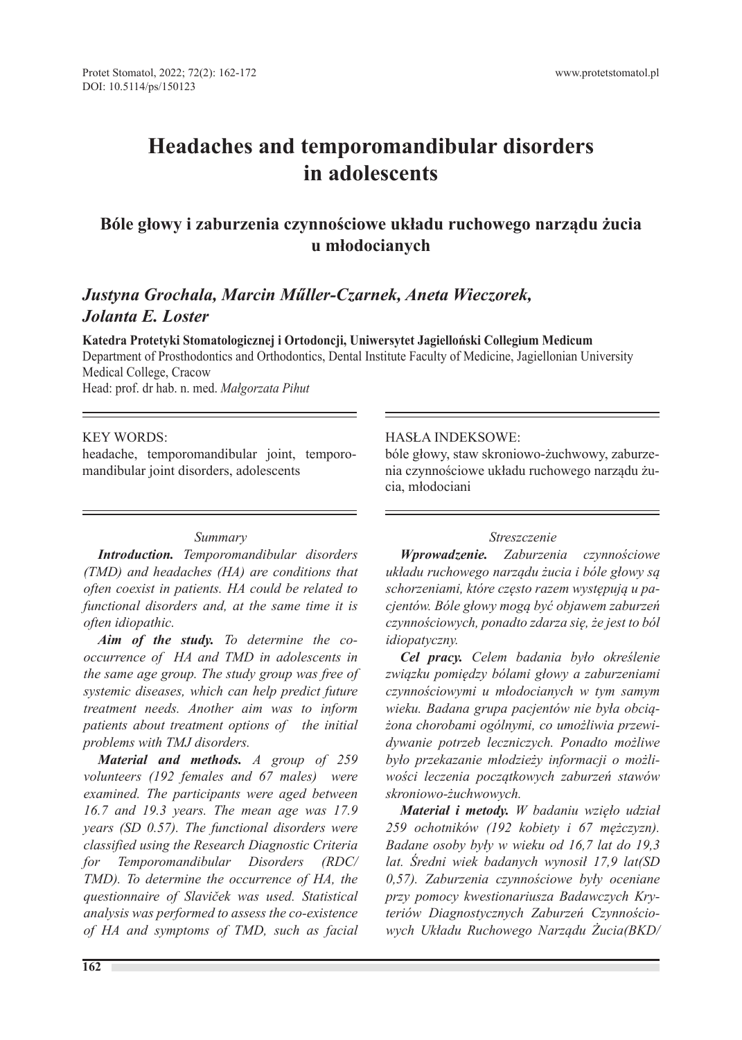# **Headaches and temporomandibular disorders in adolescents**

# **Bóle głowy i zaburzenia czynnościowe układu ruchowego narządu żucia u młodocianych**

# *Justyna Grochala, Marcin Műller-Czarnek, Aneta Wieczorek, Jolanta E. Loster*

**Katedra Protetyki Stomatologicznej i Ortodoncji, Uniwersytet Jagielloński Collegium Medicum** Department of Prosthodontics and Orthodontics, Dental Institute Faculty of Medicine, Jagiellonian University Medical College, Cracow

Head: prof. dr hab. n. med. *Małgorzata Pihut*

#### KEY WORDS:

headache, temporomandibular joint, temporomandibular joint disorders, adolescents

#### *Summary*

*Introduction. Temporomandibular disorders (TMD) and headaches (HA) are conditions that often coexist in patients. HA could be related to functional disorders and, at the same time it is often idiopathic.*

*Aim of the study. To determine the cooccurrence of HA and TMD in adolescents in the same age group. The study group was free of systemic diseases, which can help predict future treatment needs. Another aim was to inform patients about treatment options of the initial problems with TMJ disorders.*

*Material and methods. A group of 259 volunteers (192 females and 67 males) were examined. The participants were aged between 16.7 and 19.3 years. The mean age was 17.9 years (SD 0.57). The functional disorders were classified using the Research Diagnostic Criteria for Temporomandibular Disorders (RDC/ TMD). To determine the occurrence of HA, the questionnaire of Slaviček was used. Statistical analysis was performed to assess the co-existence of HA and symptoms of TMD, such as facial* 

# HASŁA INDEKSOWE:

bóle głowy, staw skroniowo-żuchwowy, zaburzenia czynnościowe układu ruchowego narządu żucia, młodociani

#### *Streszczenie*

*Wprowadzenie. Zaburzenia czynnościowe układu ruchowego narządu żucia i bóle głowy są schorzeniami, które często razem występują u pacjentów. Bóle głowy mogą być objawem zaburzeń czynnościowych, ponadto zdarza się, że jest to ból idiopatyczny.*

*Cel pracy. Celem badania było określenie związku pomiędzy bólami głowy a zaburzeniami czynnościowymi u młodocianych w tym samym wieku. Badana grupa pacjentów nie była obciążona chorobami ogólnymi, co umożliwia przewidywanie potrzeb leczniczych. Ponadto możliwe było przekazanie młodzieży informacji o możliwości leczenia początkowych zaburzeń stawów skroniowo-żuchwowych.*

*Materiał i metody. W badaniu wzięło udział 259 ochotników (192 kobiety i 67 mężczyzn). Badane osoby były w wieku od 16,7 lat do 19,3 lat. Średni wiek badanych wynosił 17,9 lat(SD 0,57). Zaburzenia czynnościowe były oceniane przy pomocy kwestionariusza Badawczych Kryteriów Diagnostycznych Zaburzeń Czynnościowych Układu Ruchowego Narządu Żucia(BKD/*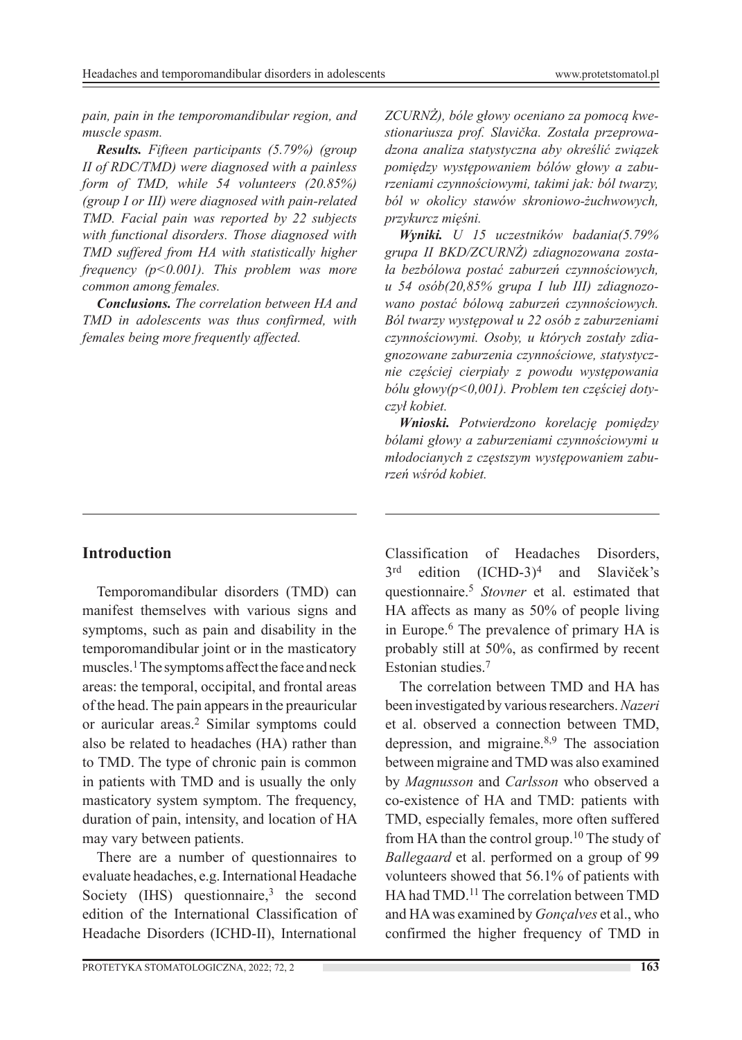*pain, pain in the temporomandibular region, and muscle spasm.*

*Results. Fifteen participants (5.79%) (group II of RDC/TMD) were diagnosed with a painless form of TMD, while 54 volunteers (20.85%) (group I or III) were diagnosed with pain-related TMD. Facial pain was reported by 22 subjects with functional disorders. Those diagnosed with TMD suffered from HA with statistically higher frequency (p<0.001). This problem was more common among females.*

*Conclusions. The correlation between HA and TMD in adolescents was thus confirmed, with females being more frequently affected.*

## **Introduction**

Temporomandibular disorders (TMD) can manifest themselves with various signs and symptoms, such as pain and disability in the temporomandibular joint or in the masticatory muscles.1 The symptoms affect the face and neck areas: the temporal, occipital, and frontal areas of the head. The pain appears in the preauricular or auricular areas.2 Similar symptoms could also be related to headaches (HA) rather than to TMD. The type of chronic pain is common in patients with TMD and is usually the only masticatory system symptom. The frequency, duration of pain, intensity, and location of HA may vary between patients.

There are a number of questionnaires to evaluate headaches, e.g. International Headache Society (IHS) questionnaire, $3$  the second edition of the International Classification of Headache Disorders (ICHD-II), International

PROTETYKA STOMATOLOGICZNA, 2022; 72, 2 **163**

*ZCURNŻ), bóle głowy oceniano za pomocą kwestionariusza prof. Slavička. Została przeprowadzona analiza statystyczna aby określić związek pomiędzy występowaniem bólów głowy a zaburzeniami czynnościowymi, takimi jak: ból twarzy, ból w okolicy stawów skroniowo-żuchwowych, przykurcz mięśni.*

*Wyniki. U 15 uczestników badania(5.79% grupa II BKD/ZCURNŻ) zdiagnozowana została bezbólowa postać zaburzeń czynnościowych, u 54 osób(20,85% grupa I lub III) zdiagnozowano postać bólową zaburzeń czynnościowych. Ból twarzy występował u 22 osób z zaburzeniami czynnościowymi. Osoby, u których zostały zdiagnozowane zaburzenia czynnościowe, statystycznie częściej cierpiały z powodu występowania bólu głowy(p<0,001). Problem ten częściej dotyczył kobiet.*

*Wnioski. Potwierdzono korelację pomiędzy bólami głowy a zaburzeniami czynnościowymi u młodocianych z częstszym występowaniem zaburzeń wśród kobiet.*

Classification of Headaches Disorders,  $3<sup>rd</sup>$  edition (ICHD-3)<sup>4</sup> and Slaviček's questionnaire.5 *Stovner* et al. estimated that HA affects as many as 50% of people living in Europe.6 The prevalence of primary HA is probably still at 50%, as confirmed by recent Estonian studies.7

The correlation between TMD and HA has been investigated by various researchers. *Nazeri* et al. observed a connection between TMD, depression, and migraine.8,9 The association between migraine and TMD was also examined by *Magnusson* and *Carlsson* who observed a co-existence of HA and TMD: patients with TMD, especially females, more often suffered from HA than the control group.10 The study of *Ballegaard* et al. performed on a group of 99 volunteers showed that 56.1% of patients with HA had TMD.<sup>11</sup> The correlation between TMD and HA was examined by *Gonçalves* et al., who confirmed the higher frequency of TMD in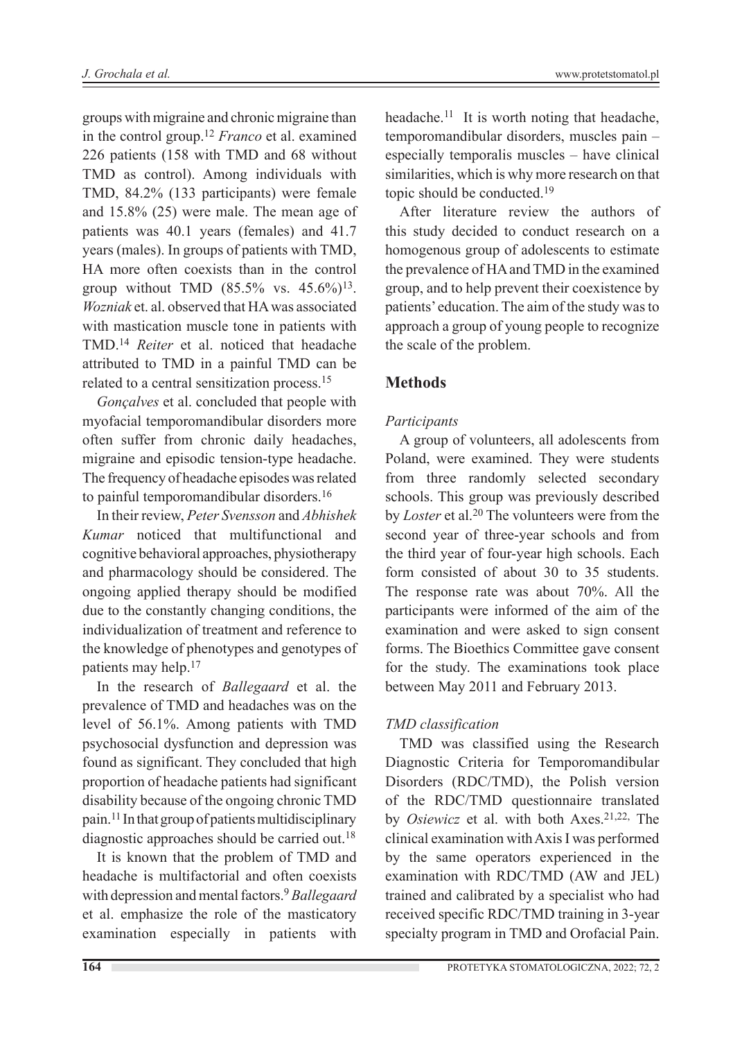groups with migraine and chronic migraine than in the control group.12 *Franco* et al. examined 226 patients (158 with TMD and 68 without TMD as control). Among individuals with TMD, 84.2% (133 participants) were female and 15.8% (25) were male. The mean age of patients was 40.1 years (females) and 41.7 years (males). In groups of patients with TMD, HA more often coexists than in the control group without TMD  $(85.5\% \text{ vs. } 45.6\%)^{13}$ . *Wozniak* et. al. observed that HA was associated with mastication muscle tone in patients with TMD.14 *Reiter* et al. noticed that headache attributed to TMD in a painful TMD can be related to a central sensitization process.<sup>15</sup>

*Gonçalves* et al. concluded that people with myofacial temporomandibular disorders more often suffer from chronic daily headaches, migraine and episodic tension-type headache. The frequency of headache episodes was related to painful temporomandibular disorders.16

In their review, *Peter Svensson* and *Abhishek Kumar* noticed that multifunctional and cognitive behavioral approaches, physiotherapy and pharmacology should be considered. The ongoing applied therapy should be modified due to the constantly changing conditions, the individualization of treatment and reference to the knowledge of phenotypes and genotypes of patients may help.17

In the research of *Ballegaard* et al. the prevalence of TMD and headaches was on the level of 56.1%. Among patients with TMD psychosocial dysfunction and depression was found as significant. They concluded that high proportion of headache patients had significant disability because of the ongoing chronic TMD pain.11 In that group of patients multidisciplinary diagnostic approaches should be carried out.18

It is known that the problem of TMD and headache is multifactorial and often coexists with depression and mental factors.9*Ballegaard* et al. emphasize the role of the masticatory examination especially in patients with

headache.<sup>11</sup> It is worth noting that headache, temporomandibular disorders, muscles pain – especially temporalis muscles – have clinical similarities, which is why more research on that topic should be conducted.19

After literature review the authors of this study decided to conduct research on a homogenous group of adolescents to estimate the prevalence of HA and TMD in the examined group, and to help prevent their coexistence by patients' education. The aim of the study was to approach a group of young people to recognize the scale of the problem.

# **Methods**

#### *Participants*

A group of volunteers, all adolescents from Poland, were examined. They were students from three randomly selected secondary schools. This group was previously described by *Loster* et al.<sup>20</sup> The volunteers were from the second year of three-year schools and from the third year of four-year high schools. Each form consisted of about 30 to 35 students. The response rate was about 70%. All the participants were informed of the aim of the examination and were asked to sign consent forms. The Bioethics Committee gave consent for the study. The examinations took place between May 2011 and February 2013.

#### *TMD classification*

TMD was classified using the Research Diagnostic Criteria for Temporomandibular Disorders (RDC/TMD), the Polish version of the RDC/TMD questionnaire translated by *Osiewicz* et al. with both Axes.<sup>21,22,</sup> The clinical examination with Axis I was performed by the same operators experienced in the examination with RDC/TMD (AW and JEL) trained and calibrated by a specialist who had received specific RDC/TMD training in 3-year specialty program in TMD and Orofacial Pain.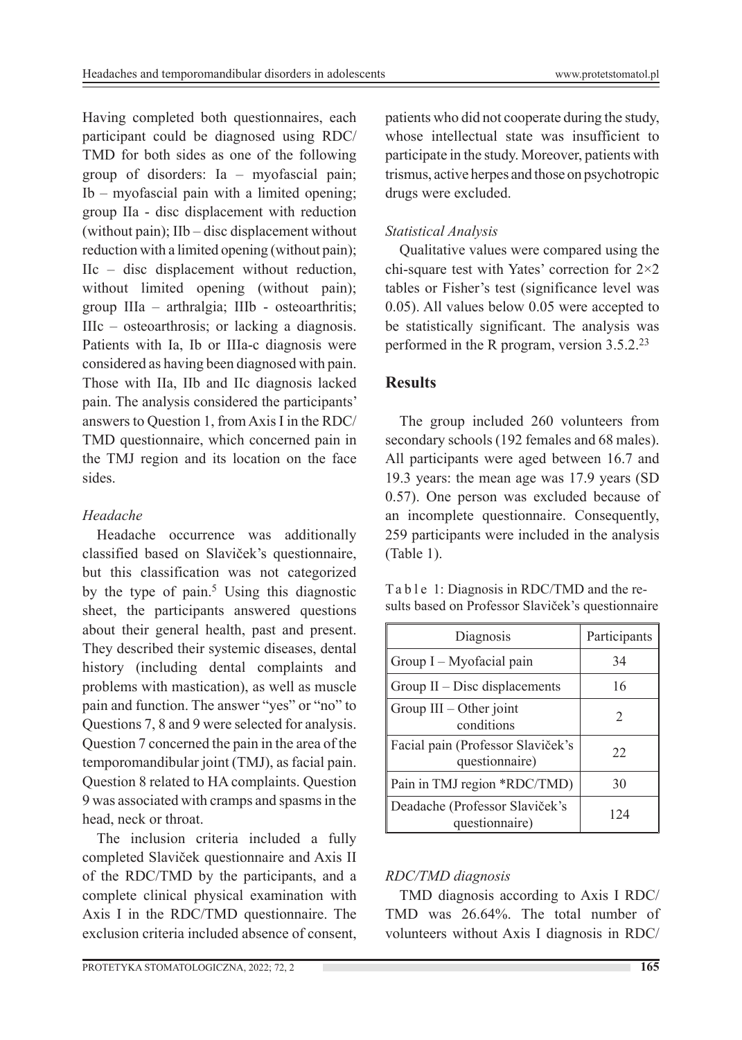Having completed both questionnaires, each participant could be diagnosed using RDC/ TMD for both sides as one of the following group of disorders: Ia – myofascial pain; Ib – myofascial pain with a limited opening; group IIa - disc displacement with reduction (without pain); IIb – disc displacement without reduction with a limited opening (without pain); IIc – disc displacement without reduction, without limited opening (without pain); group IIIa – arthralgia; IIIb - osteoarthritis; IIIc – osteoarthrosis; or lacking a diagnosis. Patients with Ia, Ib or IIIa-c diagnosis were considered as having been diagnosed with pain. Those with IIa, IIb and IIc diagnosis lacked pain. The analysis considered the participants' answers to Question 1, from Axis I in the RDC/ TMD questionnaire, which concerned pain in the TMJ region and its location on the face sides.

## *Headache*

Headache occurrence was additionally classified based on Slaviček's questionnaire, but this classification was not categorized by the type of pain.<sup>5</sup> Using this diagnostic sheet, the participants answered questions about their general health, past and present. They described their systemic diseases, dental history (including dental complaints and problems with mastication), as well as muscle pain and function. The answer "yes" or "no" to Questions 7, 8 and 9 were selected for analysis. Question 7 concerned the pain in the area of the temporomandibular joint (TMJ), as facial pain. Question 8 related to HA complaints. Question 9 was associated with cramps and spasms in the head, neck or throat.

The inclusion criteria included a fully completed Slaviček questionnaire and Axis II of the RDC/TMD by the participants, and a complete clinical physical examination with Axis I in the RDC/TMD questionnaire. The exclusion criteria included absence of consent,

patients who did not cooperate during the study, whose intellectual state was insufficient to participate in the study. Moreover, patients with trismus, active herpes and those on psychotropic drugs were excluded.

# *Statistical Analysis*

Qualitative values were compared using the chi-square test with Yates' correction for 2×2 tables or Fisher's test (significance level was 0.05). All values below 0.05 were accepted to be statistically significant. The analysis was performed in the R program, version 3.5.2.23

## **Results**

The group included 260 volunteers from secondary schools (192 females and 68 males). All participants were aged between 16.7 and 19.3 years: the mean age was 17.9 years (SD 0.57). One person was excluded because of an incomplete questionnaire. Consequently, 259 participants were included in the analysis (Table 1).

Ta b l e 1: Diagnosis in RDC/TMD and the results based on Professor Slaviček's questionnaire

| Diagnosis                                           | Participants |  |
|-----------------------------------------------------|--------------|--|
| Group I - Myofacial pain                            | 34           |  |
| Group $II$ – Disc displacements                     | 16           |  |
| Group $III - Other joint$<br>conditions             | 2            |  |
| Facial pain (Professor Slaviček's<br>questionnaire) | 22           |  |
| Pain in TMJ region *RDC/TMD)                        | 30           |  |
| Deadache (Professor Slaviček's<br>questionnaire)    | 124          |  |

## *RDC/TMD diagnosis*

TMD diagnosis according to Axis I RDC/ TMD was 26.64%. The total number of volunteers without Axis I diagnosis in RDC/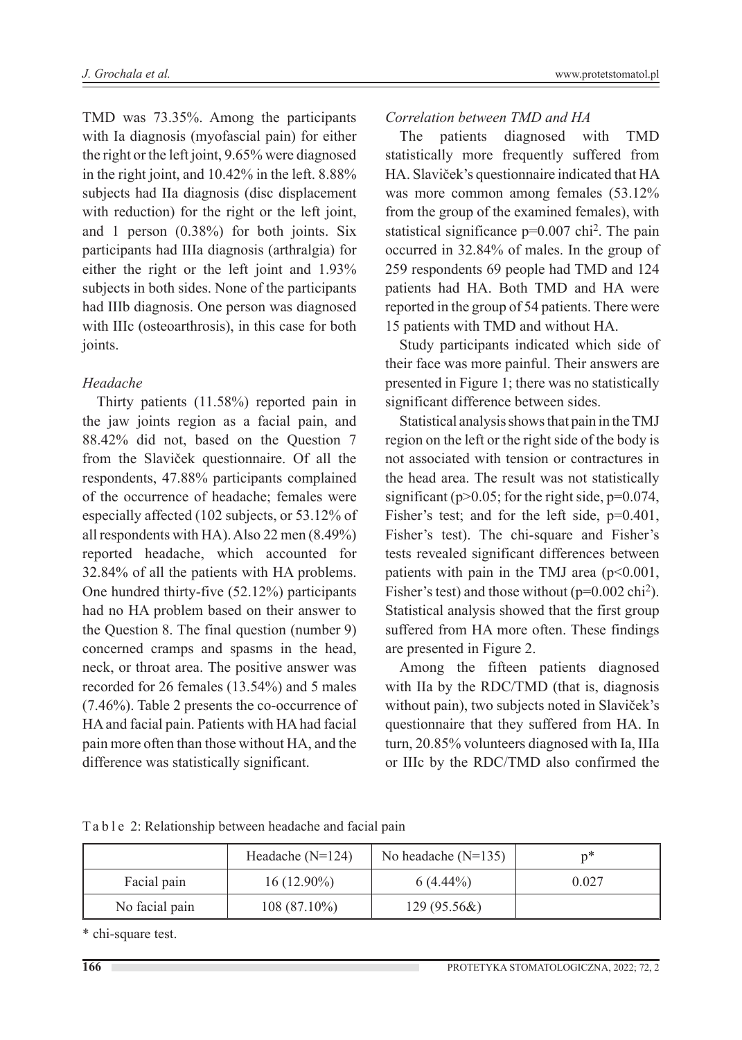TMD was 73.35%. Among the participants with Ia diagnosis (myofascial pain) for either the right or the left joint, 9.65% were diagnosed in the right joint, and 10.42% in the left. 8.88% subjects had IIa diagnosis (disc displacement with reduction) for the right or the left joint, and 1 person (0.38%) for both joints. Six participants had IIIa diagnosis (arthralgia) for either the right or the left joint and 1.93% subjects in both sides. None of the participants had IIIb diagnosis. One person was diagnosed with IIIc (osteoarthrosis), in this case for both joints.

#### *Headache*

Thirty patients (11.58%) reported pain in the jaw joints region as a facial pain, and 88.42% did not, based on the Question 7 from the Slaviček questionnaire. Of all the respondents, 47.88% participants complained of the occurrence of headache; females were especially affected (102 subjects, or 53.12% of all respondents with HA). Also 22 men (8.49%) reported headache, which accounted for 32.84% of all the patients with HA problems. One hundred thirty-five (52.12%) participants had no HA problem based on their answer to the Question 8. The final question (number 9) concerned cramps and spasms in the head, neck, or throat area. The positive answer was recorded for 26 females (13.54%) and 5 males (7.46%). Table 2 presents the co-occurrence of HA and facial pain. Patients with HA had facial pain more often than those without HA, and the difference was statistically significant.

#### *Correlation between TMD and HA*

The patients diagnosed with TMD statistically more frequently suffered from HA. Slaviček's questionnaire indicated that HA was more common among females (53.12% from the group of the examined females), with statistical significance p=0.007 chi2. The pain occurred in 32.84% of males. In the group of 259 respondents 69 people had TMD and 124 patients had HA. Both TMD and HA were reported in the group of 54 patients. There were 15 patients with TMD and without HA.

Study participants indicated which side of their face was more painful. Their answers are presented in Figure 1; there was no statistically significant difference between sides.

Statistical analysis shows that pain in the TMJ region on the left or the right side of the body is not associated with tension or contractures in the head area. The result was not statistically significant ( $p$ >0.05; for the right side,  $p$ =0.074, Fisher's test; and for the left side,  $p=0.401$ , Fisher's test). The chi-square and Fisher's tests revealed significant differences between patients with pain in the TMJ area  $(p<0.001,$ Fisher's test) and those without  $(p=0.002 \text{ chi}^2)$ . Statistical analysis showed that the first group suffered from HA more often. These findings are presented in Figure 2.

Among the fifteen patients diagnosed with IIa by the RDC/TMD (that is, diagnosis without pain), two subjects noted in Slaviček's questionnaire that they suffered from HA. In turn, 20.85% volunteers diagnosed with Ia, IIIa or IIIc by the RDC/TMD also confirmed the

|  | Table 2: Relationship between headache and facial pain |  |  |  |
|--|--------------------------------------------------------|--|--|--|
|  |                                                        |  |  |  |

|                | Headache $(N=124)$ | No headache $(N=135)$ | n*    |
|----------------|--------------------|-----------------------|-------|
| Facial pain    | $16(12.90\%)$      | $6(4.44\%)$           | 0.027 |
| No facial pain | $108(87.10\%)$     | $129(95.56\&)$        |       |

\* chi-square test.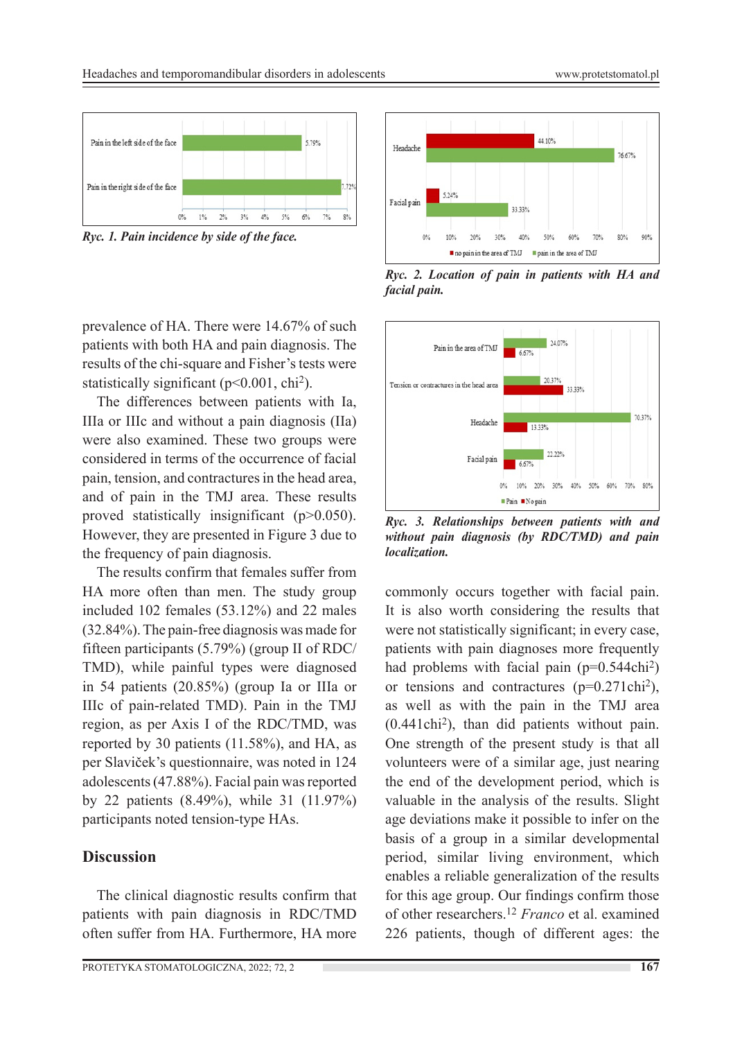

*Ryc. 1. Pain incidence by side of the face.*

prevalence of HA. There were 14.67% of such patients with both HA and pain diagnosis. The results of the chi-square and Fisher's tests were statistically significant ( $p<0.001$ , chi<sup>2</sup>).

The differences between patients with Ia, IIIa or IIIc and without a pain diagnosis (IIa) were also examined. These two groups were considered in terms of the occurrence of facial pain, tension, and contractures in the head area, and of pain in the TMJ area. These results proved statistically insignificant (p>0.050). However, they are presented in Figure 3 due to the frequency of pain diagnosis.

The results confirm that females suffer from HA more often than men. The study group included 102 females (53.12%) and 22 males (32.84%). The pain-free diagnosis was made for fifteen participants (5.79%) (group II of RDC/ TMD), while painful types were diagnosed in 54 patients (20.85%) (group Ia or IIIa or IIIc of pain-related TMD). Pain in the TMJ region, as per Axis I of the RDC/TMD, was reported by 30 patients (11.58%), and HA, as per Slaviček's questionnaire, was noted in 124 adolescents (47.88%). Facial pain was reported by 22 patients (8.49%), while 31 (11.97%) participants noted tension-type HAs.

## **Discussion**

The clinical diagnostic results confirm that patients with pain diagnosis in RDC/TMD often suffer from HA. Furthermore, HA more



*Ryc. 2. Location of pain in patients with HA and facial pain.*



*Ryc. 3. Relationships between patients with and without pain diagnosis (by RDC/TMD) and pain localization.*

commonly occurs together with facial pain. It is also worth considering the results that were not statistically significant; in every case, patients with pain diagnoses more frequently had problems with facial pain  $(p=0.544ch<sup>2</sup>)$ or tensions and contractures (p=0.271chi2), as well as with the pain in the TMJ area (0.441chi2), than did patients without pain. One strength of the present study is that all volunteers were of a similar age, just nearing the end of the development period, which is valuable in the analysis of the results. Slight age deviations make it possible to infer on the basis of a group in a similar developmental period, similar living environment, which enables a reliable generalization of the results for this age group. Our findings confirm those of other researchers.12 *Franco* et al. examined 226 patients, though of different ages: the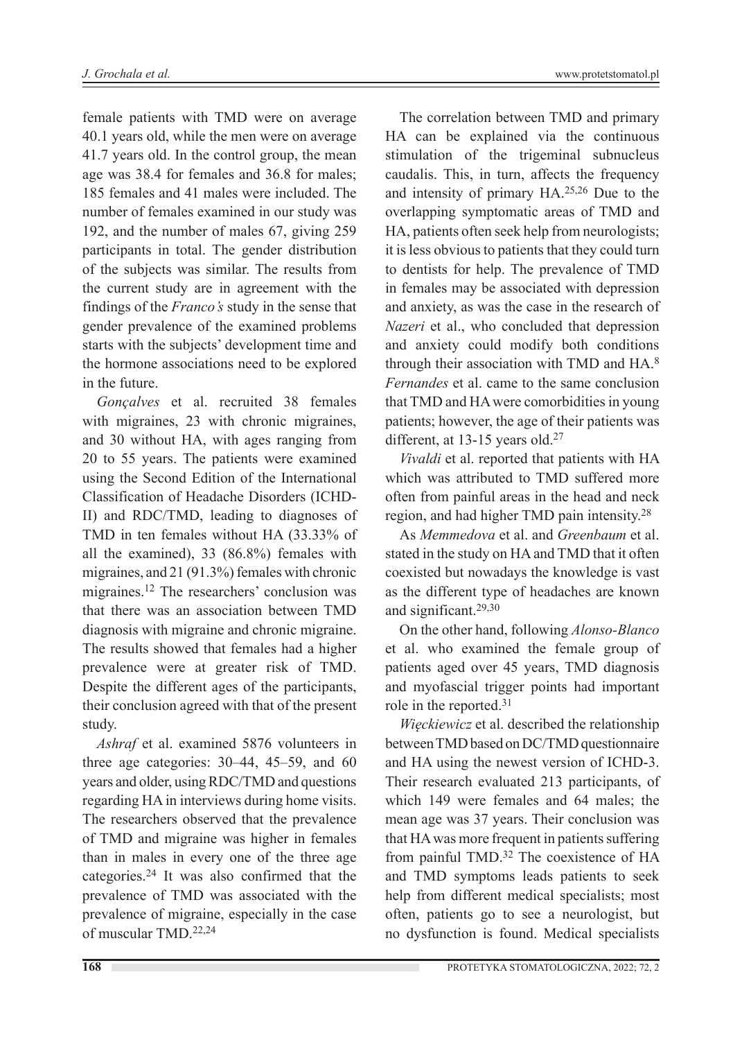female patients with TMD were on average 40.1 years old, while the men were on average 41.7 years old. In the control group, the mean age was 38.4 for females and 36.8 for males; 185 females and 41 males were included. The number of females examined in our study was 192, and the number of males 67, giving 259 participants in total. The gender distribution of the subjects was similar. The results from the current study are in agreement with the findings of the *Franco's* study in the sense that gender prevalence of the examined problems starts with the subjects' development time and the hormone associations need to be explored in the future.

*Gonçalves* et al. recruited 38 females with migraines, 23 with chronic migraines, and 30 without HA, with ages ranging from 20 to 55 years. The patients were examined using the Second Edition of the International Classification of Headache Disorders (ICHD-II) and RDC/TMD, leading to diagnoses of TMD in ten females without HA (33.33% of all the examined), 33 (86.8%) females with migraines, and 21 (91.3%) females with chronic migraines.12 The researchers' conclusion was that there was an association between TMD diagnosis with migraine and chronic migraine. The results showed that females had a higher prevalence were at greater risk of TMD. Despite the different ages of the participants, their conclusion agreed with that of the present study.

*Ashraf* et al. examined 5876 volunteers in three age categories: 30–44, 45–59, and 60 years and older, using RDC/TMD and questions regarding HA in interviews during home visits. The researchers observed that the prevalence of TMD and migraine was higher in females than in males in every one of the three age categories.24 It was also confirmed that the prevalence of TMD was associated with the prevalence of migraine, especially in the case of muscular TMD.22,24

The correlation between TMD and primary HA can be explained via the continuous stimulation of the trigeminal subnucleus caudalis. This, in turn, affects the frequency and intensity of primary HA.25,26 Due to the overlapping symptomatic areas of TMD and HA, patients often seek help from neurologists; it is less obvious to patients that they could turn to dentists for help. The prevalence of TMD in females may be associated with depression and anxiety, as was the case in the research of *Nazeri* et al., who concluded that depression and anxiety could modify both conditions through their association with TMD and HA.8 *Fernandes* et al. came to the same conclusion that TMD and HA were comorbidities in young patients; however, the age of their patients was different, at 13-15 years old.<sup>27</sup>

*Vivaldi* et al. reported that patients with HA which was attributed to TMD suffered more often from painful areas in the head and neck region, and had higher TMD pain intensity.28

As *Memmedova* et al. and *Greenbaum* et al. stated in the study on HA and TMD that it often coexisted but nowadays the knowledge is vast as the different type of headaches are known and significant.29,30

On the other hand, following *Alonso-Blanco* et al. who examined the female group of patients aged over 45 years, TMD diagnosis and myofascial trigger points had important role in the reported.31

*Więckiewicz* et al. described the relationship between TMD based on DC/TMD questionnaire and HA using the newest version of ICHD-3. Their research evaluated 213 participants, of which 149 were females and 64 males; the mean age was 37 years. Their conclusion was that HA was more frequent in patients suffering from painful TMD.<sup>32</sup> The coexistence of HA and TMD symptoms leads patients to seek help from different medical specialists; most often, patients go to see a neurologist, but no dysfunction is found. Medical specialists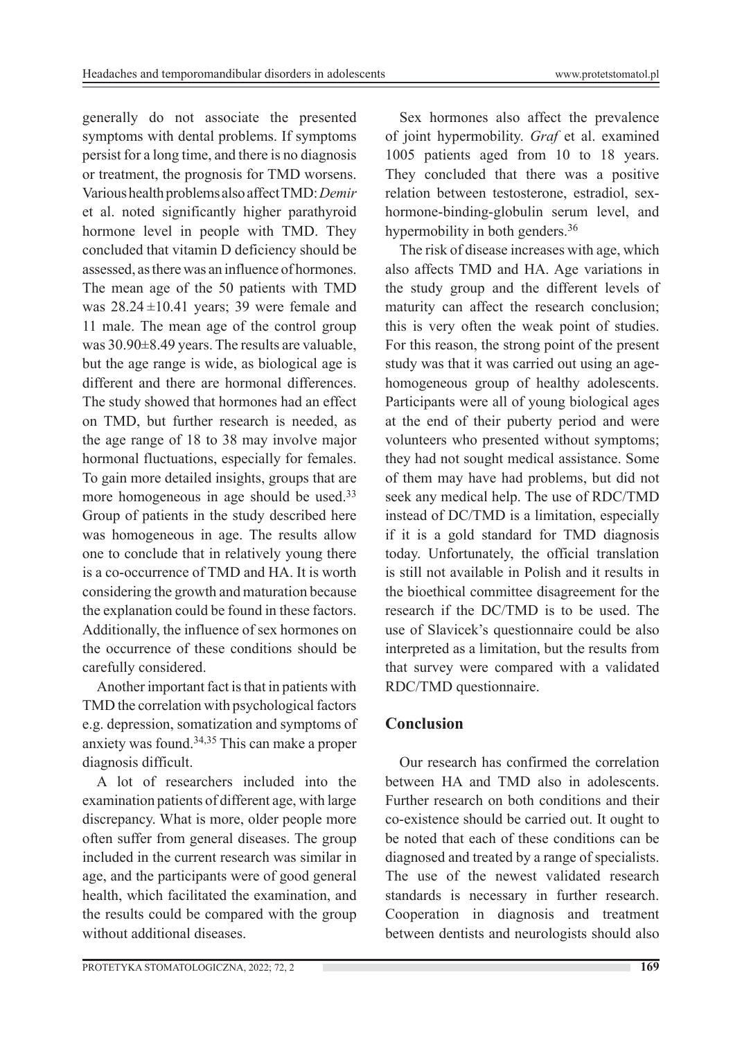generally do not associate the presented symptoms with dental problems. If symptoms persist for a long time, and there is no diagnosis or treatment, the prognosis for TMD worsens. Various health problems also affect TMD: *Demir* et al. noted significantly higher parathyroid hormone level in people with TMD. They concluded that vitamin D deficiency should be assessed, as there was an influence of hormones. The mean age of the 50 patients with TMD was 28.24 ±10.41 years; 39 were female and 11 male. The mean age of the control group was 30.90±8.49 years. The results are valuable, but the age range is wide, as biological age is different and there are hormonal differences. The study showed that hormones had an effect on TMD, but further research is needed, as the age range of 18 to 38 may involve major hormonal fluctuations, especially for females. To gain more detailed insights, groups that are more homogeneous in age should be used.<sup>33</sup> Group of patients in the study described here was homogeneous in age. The results allow one to conclude that in relatively young there is a co-occurrence of TMD and HA. It is worth considering the growth and maturation because the explanation could be found in these factors. Additionally, the influence of sex hormones on the occurrence of these conditions should be carefully considered.

Another important fact is that in patients with TMD the correlation with psychological factors e.g. depression, somatization and symptoms of anxiety was found.34,35 This can make a proper diagnosis difficult.

A lot of researchers included into the examination patients of different age, with large discrepancy. What is more, older people more often suffer from general diseases. The group included in the current research was similar in age, and the participants were of good general health, which facilitated the examination, and the results could be compared with the group without additional diseases.

Sex hormones also affect the prevalence of joint hypermobility. *Graf* et al. examined 1005 patients aged from 10 to 18 years. They concluded that there was a positive relation between testosterone, estradiol, sexhormone-binding-globulin serum level, and hypermobility in both genders.<sup>36</sup>

The risk of disease increases with age, which also affects TMD and HA. Age variations in the study group and the different levels of maturity can affect the research conclusion; this is very often the weak point of studies. For this reason, the strong point of the present study was that it was carried out using an agehomogeneous group of healthy adolescents. Participants were all of young biological ages at the end of their puberty period and were volunteers who presented without symptoms; they had not sought medical assistance. Some of them may have had problems, but did not seek any medical help. The use of RDC/TMD instead of DC/TMD is a limitation, especially if it is a gold standard for TMD diagnosis today. Unfortunately, the official translation is still not available in Polish and it results in the bioethical committee disagreement for the research if the DC/TMD is to be used. The use of Slavicek's questionnaire could be also interpreted as a limitation, but the results from that survey were compared with a validated RDC/TMD questionnaire.

# **Conclusion**

Our research has confirmed the correlation between HA and TMD also in adolescents. Further research on both conditions and their co-existence should be carried out. It ought to be noted that each of these conditions can be diagnosed and treated by a range of specialists. The use of the newest validated research standards is necessary in further research. Cooperation in diagnosis and treatment between dentists and neurologists should also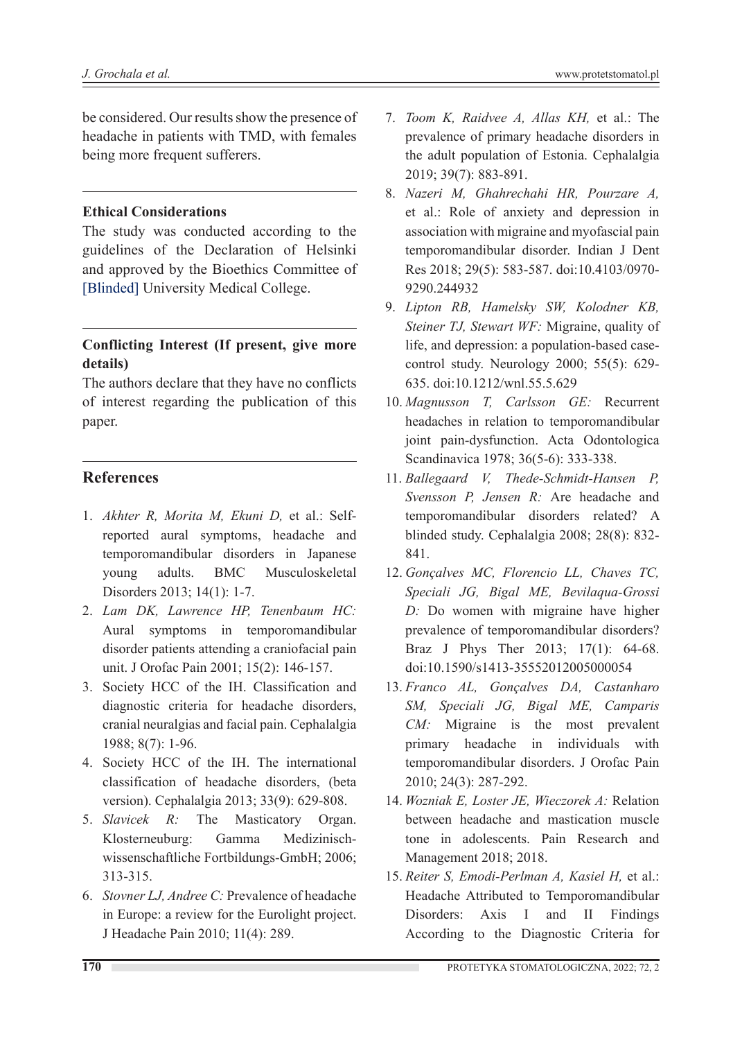be considered. Our results show the presence of headache in patients with TMD, with females being more frequent sufferers.

#### **Ethical Considerations**

The study was conducted according to the guidelines of the Declaration of Helsinki and approved by the Bioethics Committee of [Blinded] University Medical College.

#### **Conflicting Interest (If present, give more details)**

The authors declare that they have no conflicts of interest regarding the publication of this paper.

#### **References**

- 1. *Akhter R, Morita M, Ekuni D,* et al.: Selfreported aural symptoms, headache and temporomandibular disorders in Japanese young adults. BMC Musculoskeletal Disorders 2013; 14(1): 1-7.
- 2. *Lam DK, Lawrence HP, Tenenbaum HC:*  Aural symptoms in temporomandibular disorder patients attending a craniofacial pain unit. J Orofac Pain 2001; 15(2): 146-157.
- 3. Society HCC of the IH. Classification and diagnostic criteria for headache disorders, cranial neuralgias and facial pain. Cephalalgia 1988; 8(7): 1-96.
- 4. Society HCC of the IH. The international classification of headache disorders, (beta version). Cephalalgia 2013; 33(9): 629-808.
- 5. *Slavicek R:* The Masticatory Organ. Klosterneuburg: Gamma Medizinischwissenschaftliche Fortbildungs-GmbH; 2006; 313-315.
- 6. *Stovner LJ, Andree C:* Prevalence of headache in Europe: a review for the Eurolight project. J Headache Pain 2010; 11(4): 289.
- 7. *Toom K, Raidvee A, Allas KH,* et al.: The prevalence of primary headache disorders in the adult population of Estonia. Cephalalgia 2019; 39(7): 883-891.
- 8. *Nazeri M, Ghahrechahi HR, Pourzare A,*  et al.: Role of anxiety and depression in association with migraine and myofascial pain temporomandibular disorder. Indian J Dent Res 2018; 29(5): 583-587. doi:10.4103/0970- 9290.244932
- 9. *Lipton RB, Hamelsky SW, Kolodner KB, Steiner TJ, Stewart WF:* Migraine, quality of life, and depression: a population-based casecontrol study. Neurology 2000; 55(5): 629- 635. doi:10.1212/wnl.55.5.629
- 10. *Magnusson T, Carlsson GE:* Recurrent headaches in relation to temporomandibular joint pain-dysfunction. Acta Odontologica Scandinavica 1978; 36(5-6): 333-338.
- 11. *Ballegaard V, Thede-Schmidt-Hansen P, Svensson P, Jensen R:* Are headache and temporomandibular disorders related? A blinded study. Cephalalgia 2008; 28(8): 832- 841.
- 12. *Gonçalves MC, Florencio LL, Chaves TC, Speciali JG, Bigal ME, Bevilaqua-Grossi D:* Do women with migraine have higher prevalence of temporomandibular disorders? Braz J Phys Ther 2013; 17(1): 64-68. doi:10.1590/s1413-35552012005000054
- 13. *Franco AL, Gonçalves DA, Castanharo SM, Speciali JG, Bigal ME, Camparis CM:* Migraine is the most prevalent primary headache in individuals with temporomandibular disorders. J Orofac Pain 2010; 24(3): 287-292.
- 14. *Wozniak E, Loster JE, Wieczorek A:* Relation between headache and mastication muscle tone in adolescents. Pain Research and Management 2018; 2018.
- 15. *Reiter S, Emodi-Perlman A, Kasiel H,* et al.: Headache Attributed to Temporomandibular Disorders: Axis I and II Findings According to the Diagnostic Criteria for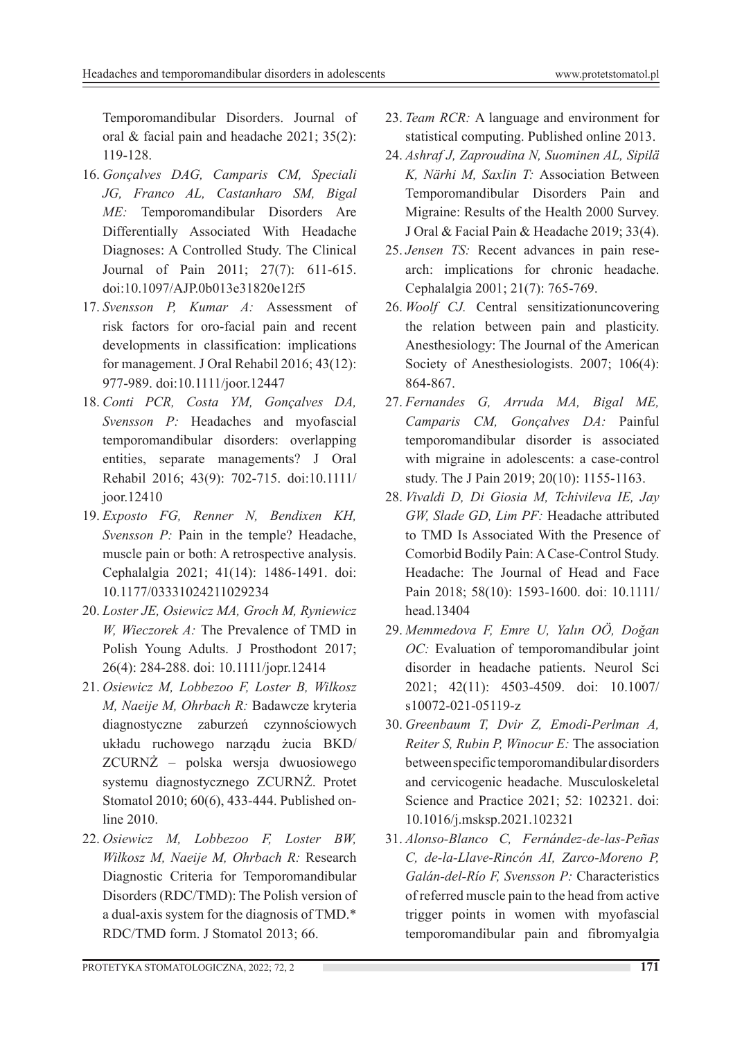Temporomandibular Disorders. Journal of oral & facial pain and headache 2021; 35(2): 119-128.

- 16. *Gonçalves DAG, Camparis CM, Speciali JG, Franco AL, Castanharo SM, Bigal ME:* Temporomandibular Disorders Are Differentially Associated With Headache Diagnoses: A Controlled Study. The Clinical Journal of Pain 2011; 27(7): 611-615. doi:10.1097/AJP.0b013e31820e12f5
- 17. *Svensson P, Kumar A:* Assessment of risk factors for oro-facial pain and recent developments in classification: implications for management. J Oral Rehabil 2016; 43(12): 977-989. doi:10.1111/joor.12447
- 18. *Conti PCR, Costa YM, Gonçalves DA, Svensson P:* Headaches and myofascial temporomandibular disorders: overlapping entities, separate managements? J Oral Rehabil 2016; 43(9): 702-715. doi:10.1111/ joor.12410
- 19. *Exposto FG, Renner N, Bendixen KH, Svensson P:* Pain in the temple? Headache, muscle pain or both: A retrospective analysis. Cephalalgia 2021; 41(14): 1486-1491. doi: 10.1177/03331024211029234
- 20. *Loster JE, Osiewicz MA, Groch M, Ryniewicz W, Wieczorek A:* The Prevalence of TMD in Polish Young Adults. J Prosthodont 2017; 26(4): 284-288. doi: 10.1111/jopr.12414
- 21. *Osiewicz M, Lobbezoo F, Loster B, Wilkosz M, Naeije M, Ohrbach R:* Badawcze kryteria diagnostyczne zaburzeń czynnościowych układu ruchowego narządu żucia BKD/ ZCURNŻ – polska wersja dwuosiowego systemu diagnostycznego ZCURNŻ. Protet Stomatol 2010; 60(6), 433-444. Published online 2010.
- 22. *Osiewicz M, Lobbezoo F, Loster BW, Wilkosz M, Naeije M, Ohrbach R:* Research Diagnostic Criteria for Temporomandibular Disorders (RDC/TMD): The Polish version of a dual-axis system for the diagnosis of TMD.\* RDC/TMD form. J Stomatol 2013; 66.
- 23. *Team RCR:* A language and environment for statistical computing. Published online 2013.
- 24. *Ashraf J, Zaproudina N, Suominen AL, Sipilä K, Närhi M, Saxlin T:* Association Between Temporomandibular Disorders Pain and Migraine: Results of the Health 2000 Survey. J Oral & Facial Pain & Headache 2019; 33(4).
- 25. *Jensen TS:* Recent advances in pain research: implications for chronic headache. Cephalalgia 2001; 21(7): 765-769.
- 26. *Woolf CJ.* Central sensitizationuncovering the relation between pain and plasticity. Anesthesiology: The Journal of the American Society of Anesthesiologists. 2007; 106(4): 864-867.
- 27. *Fernandes G, Arruda MA, Bigal ME, Camparis CM, Gonçalves DA:* Painful temporomandibular disorder is associated with migraine in adolescents: a case-control study. The J Pain 2019; 20(10): 1155-1163.
- 28. *Vivaldi D, Di Giosia M, Tchivileva IE, Jay GW, Slade GD, Lim PF:* Headache attributed to TMD Is Associated With the Presence of Comorbid Bodily Pain: A Case-Control Study. Headache: The Journal of Head and Face Pain 2018; 58(10): 1593-1600. doi: 10.1111/ head.13404
- 29. *Memmedova F, Emre U, Yalın OÖ, Doğan OC:* Evaluation of temporomandibular joint disorder in headache patients. Neurol Sci 2021; 42(11): 4503-4509. doi: 10.1007/ s10072-021-05119-z
- 30. *Greenbaum T, Dvir Z, Emodi-Perlman A, Reiter S, Rubin P, Winocur E:* The association between specific temporomandibular disorders and cervicogenic headache. Musculoskeletal Science and Practice 2021; 52: 102321. doi: 10.1016/j.msksp.2021.102321
- 31. *Alonso-Blanco C, Fernández-de-las-Peñas C, de-la-Llave-Rincón AI, Zarco-Moreno P, Galán-del-Río F, Svensson P:* Characteristics of referred muscle pain to the head from active trigger points in women with myofascial temporomandibular pain and fibromyalgia